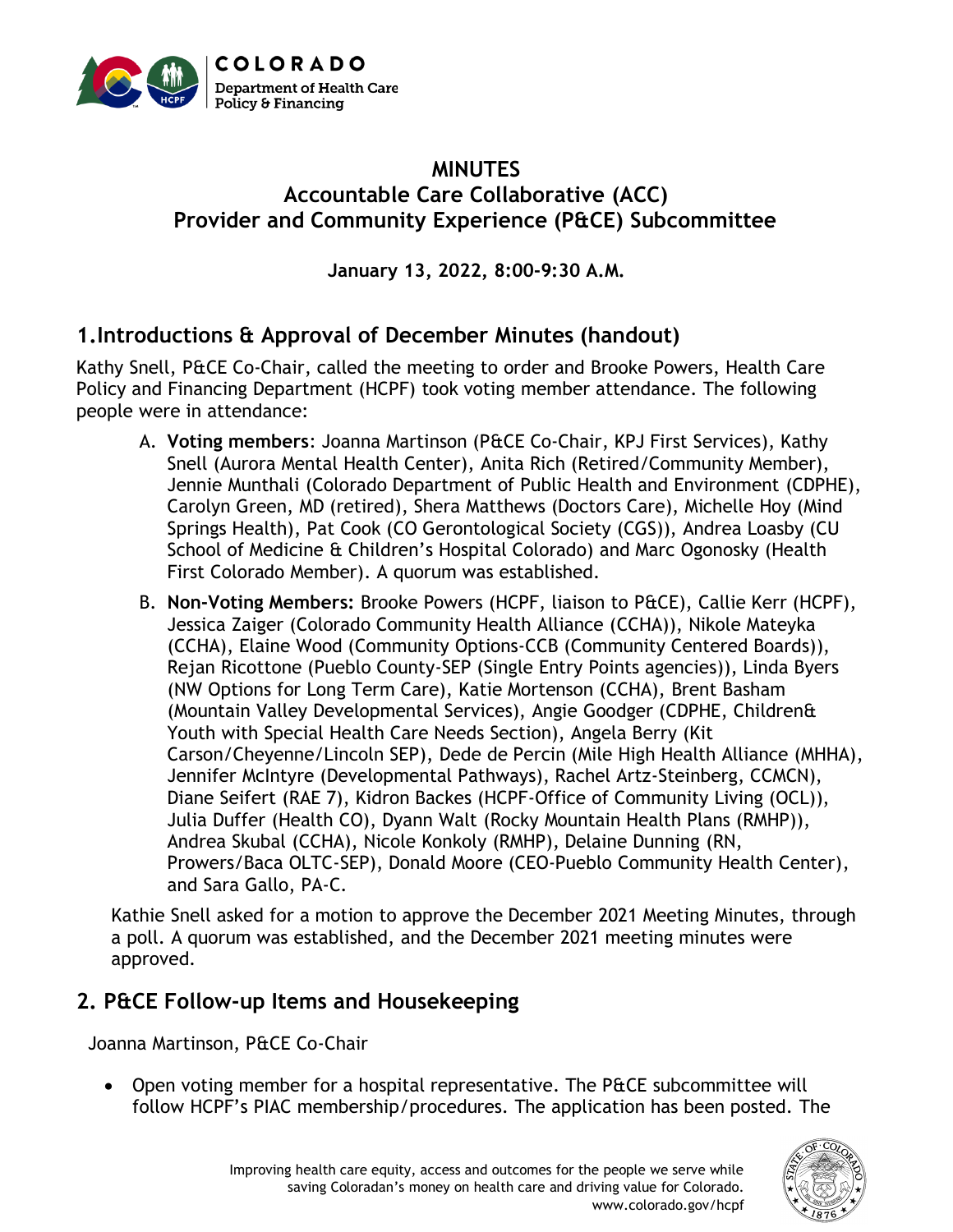

## **MINUTES Accountable Care Collaborative (ACC) Provider and Community Experience (P&CE) Subcommittee**

**January 13, 2022, 8:00-9:30 A.M.**

## **1.Introductions & Approval of December Minutes (handout)**

Kathy Snell, P&CE Co-Chair, called the meeting to order and Brooke Powers, Health Care Policy and Financing Department (HCPF) took voting member attendance. The following people were in attendance:

- A. **Voting members**: Joanna Martinson (P&CE Co-Chair, KPJ First Services), Kathy Snell (Aurora Mental Health Center), Anita Rich (Retired/Community Member), Jennie Munthali (Colorado Department of Public Health and Environment (CDPHE), Carolyn Green, MD (retired), Shera Matthews (Doctors Care), Michelle Hoy (Mind Springs Health), Pat Cook (CO Gerontological Society (CGS)), Andrea Loasby (CU School of Medicine & Children's Hospital Colorado) and Marc Ogonosky (Health First Colorado Member). A quorum was established.
- B. **Non-Voting Members:** Brooke Powers (HCPF, liaison to P&CE), Callie Kerr (HCPF), Jessica Zaiger (Colorado Community Health Alliance (CCHA)), Nikole Mateyka (CCHA), Elaine Wood (Community Options-CCB (Community Centered Boards)), Rejan Ricottone (Pueblo County-SEP (Single Entry Points agencies)), Linda Byers (NW Options for Long Term Care), Katie Mortenson (CCHA), Brent Basham (Mountain Valley Developmental Services), Angie Goodger (CDPHE, Children& Youth with Special Health Care Needs Section), Angela Berry (Kit Carson/Cheyenne/Lincoln SEP), Dede de Percin (Mile High Health Alliance (MHHA), Jennifer McIntyre (Developmental Pathways), Rachel Artz-Steinberg, CCMCN), Diane Seifert (RAE 7), Kidron Backes (HCPF-Office of Community Living (OCL)), Julia Duffer (Health CO), Dyann Walt (Rocky Mountain Health Plans (RMHP)), Andrea Skubal (CCHA), Nicole Konkoly (RMHP), Delaine Dunning (RN, Prowers/Baca OLTC-SEP), Donald Moore (CEO-Pueblo Community Health Center), and Sara Gallo, PA-C.

Kathie Snell asked for a motion to approve the December 2021 Meeting Minutes, through a poll. A quorum was established, and the December 2021 meeting minutes were approved.

## **2. P&CE Follow-up Items and Housekeeping**

Joanna Martinson, P&CE Co-Chair

• Open voting member for a hospital representative. The P&CE subcommittee will follow HCPF's PIAC membership/procedures. The application has been posted. The



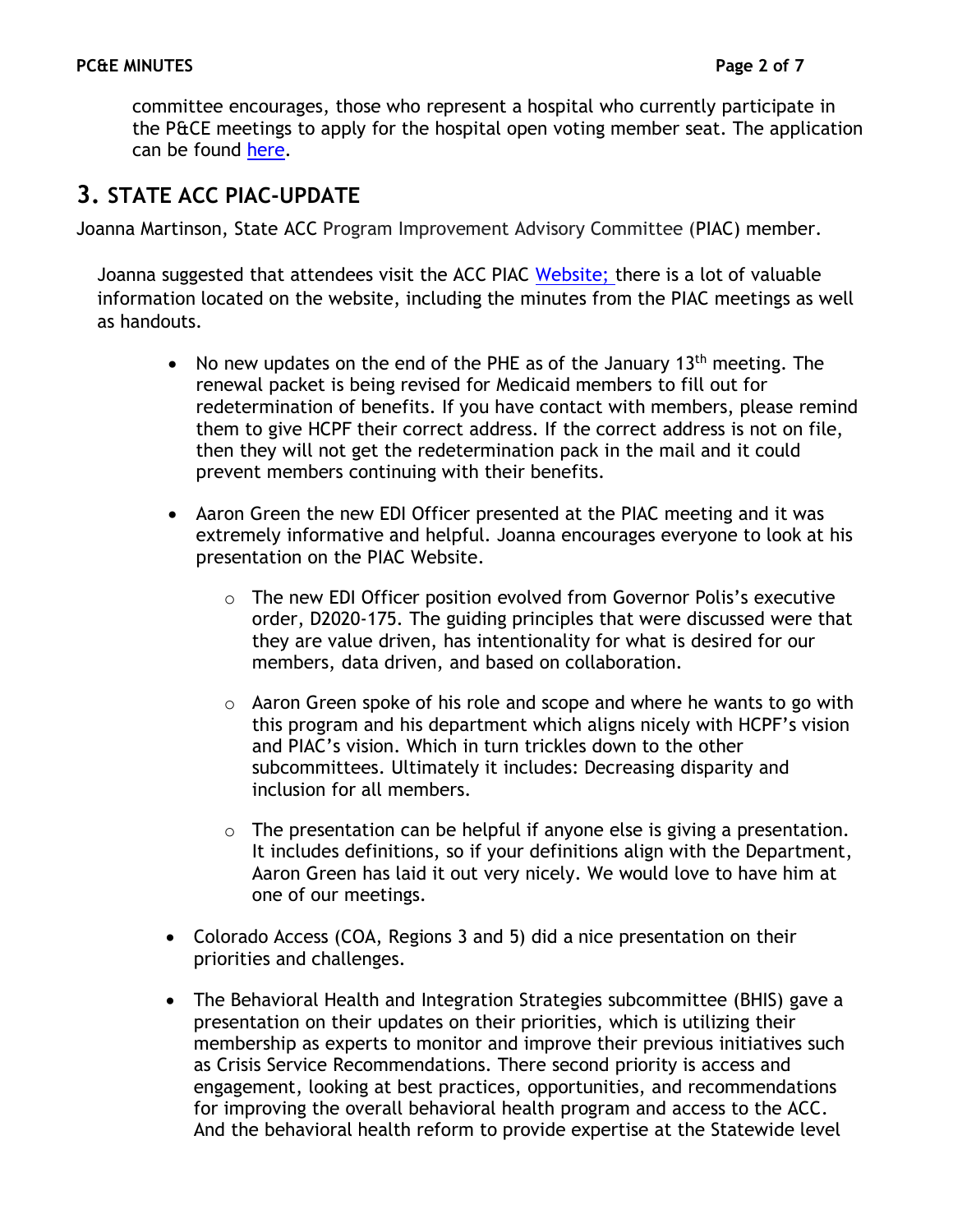committee encourages, those who represent a hospital who currently participate in the P&CE meetings to apply for the hospital open voting member seat. The application can be found [here.](https://docs.google.com/forms/d/e/1FAIpQLSf_Vli4tbXwRB40CbK6RvopPq2ab3ThM2MBKpdX5TjIrXlw1A/viewform)

# **3. STATE ACC PIAC-UPDATE**

Joanna Martinson, State ACC Program Improvement Advisory Committee (PIAC) member.

Joanna suggested that attendees visit the ACC PIAC [Website;](https://hcpf.colorado.gov/accountable-care-collaborative-program-improvement-advisory-committee) there is a lot of valuable information located on the website, including the minutes from the PIAC meetings as well as handouts.

- No new updates on the end of the PHE as of the January  $13<sup>th</sup>$  meeting. The renewal packet is being revised for Medicaid members to fill out for redetermination of benefits. If you have contact with members, please remind them to give HCPF their correct address. If the correct address is not on file, then they will not get the redetermination pack in the mail and it could prevent members continuing with their benefits.
- Aaron Green the new EDI Officer presented at the PIAC meeting and it was extremely informative and helpful. Joanna encourages everyone to look at his presentation on the PIAC Website.
	- o The new EDI Officer position evolved from Governor Polis's executive order, D2020-175. The guiding principles that were discussed were that they are value driven, has intentionality for what is desired for our members, data driven, and based on collaboration.
	- $\circ$  Aaron Green spoke of his role and scope and where he wants to go with this program and his department which aligns nicely with HCPF's vision and PIAC's vision. Which in turn trickles down to the other subcommittees. Ultimately it includes: Decreasing disparity and inclusion for all members.
	- o The presentation can be helpful if anyone else is giving a presentation. It includes definitions, so if your definitions align with the Department, Aaron Green has laid it out very nicely. We would love to have him at one of our meetings.
- Colorado Access (COA, Regions 3 and 5) did a nice presentation on their priorities and challenges.
- The Behavioral Health and Integration Strategies subcommittee (BHIS) gave a presentation on their updates on their priorities, which is utilizing their membership as experts to monitor and improve their previous initiatives such as Crisis Service Recommendations. There second priority is access and engagement, looking at best practices, opportunities, and recommendations for improving the overall behavioral health program and access to the ACC. And the behavioral health reform to provide expertise at the Statewide level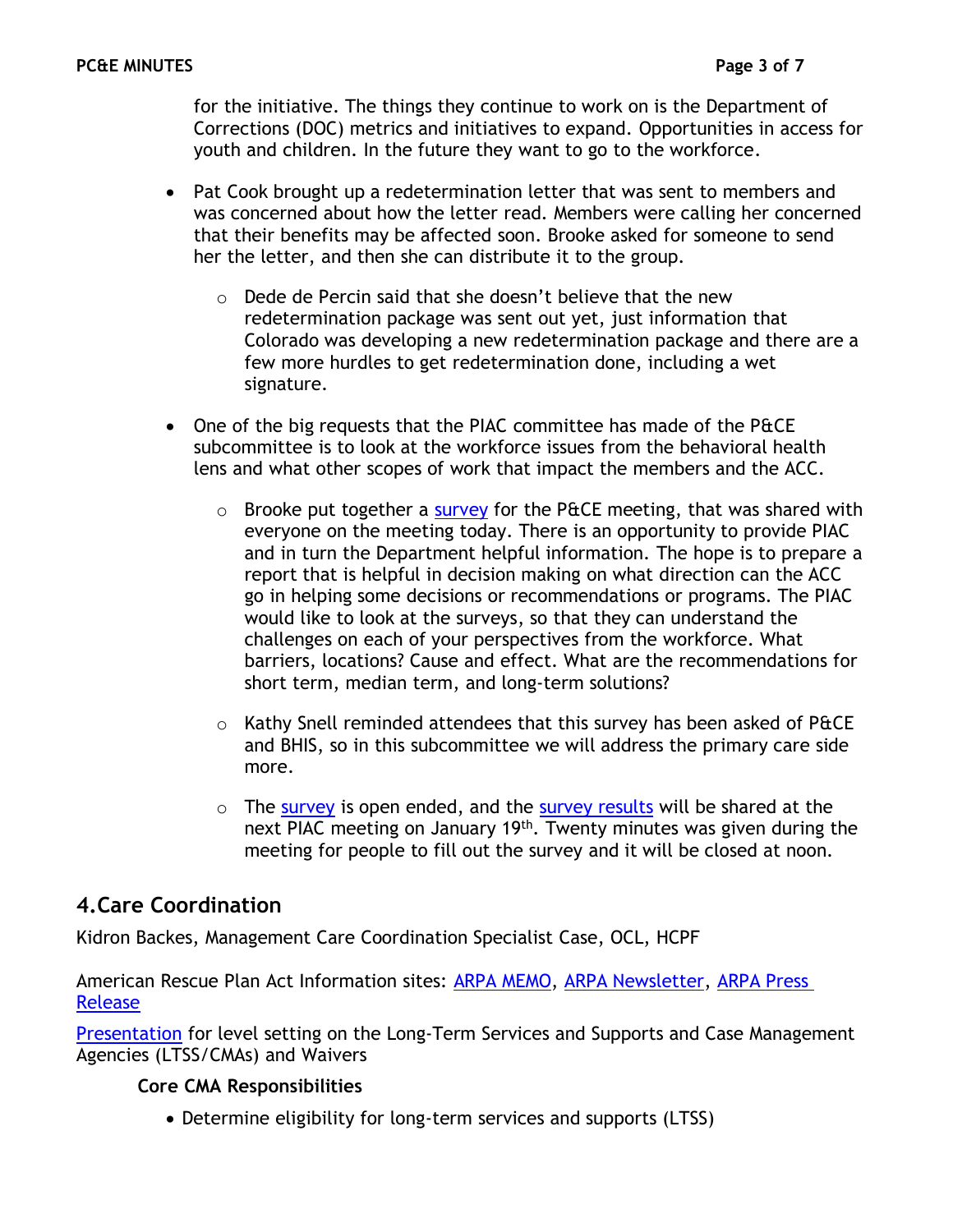for the initiative. The things they continue to work on is the Department of Corrections (DOC) metrics and initiatives to expand. Opportunities in access for youth and children. In the future they want to go to the workforce.

- Pat Cook brought up a redetermination letter that was sent to members and was concerned about how the letter read. Members were calling her concerned that their benefits may be affected soon. Brooke asked for someone to send her the letter, and then she can distribute it to the group.
	- $\circ$  Dede de Percin said that she doesn't believe that the new redetermination package was sent out yet, just information that Colorado was developing a new redetermination package and there are a few more hurdles to get redetermination done, including a wet signature.
- One of the big requests that the PIAC committee has made of the P&CE subcommittee is to look at the workforce issues from the behavioral health lens and what other scopes of work that impact the members and the ACC.
	- $\circ$  Brooke put together a [survey](https://www.surveymonkey.com/results/SM-LQ7C835C9/) for the P&CE meeting, that was shared with everyone on the meeting today. There is an opportunity to provide PIAC and in turn the Department helpful information. The hope is to prepare a report that is helpful in decision making on what direction can the ACC go in helping some decisions or recommendations or programs. The PIAC would like to look at the surveys, so that they can understand the challenges on each of your perspectives from the workforce. What barriers, locations? Cause and effect. What are the recommendations for short term, median term, and long-term solutions?
	- $\circ$  Kathy Snell reminded attendees that this survey has been asked of P&CE and BHIS, so in this subcommittee we will address the primary care side more.
	- $\circ$  The [survey](https://www.surveymonkey.com/results/SM-LQ7C835C9/) is open ended, and the [survey results](https://www.surveymonkey.com/results/SM-LQ7C835C9/) will be shared at the next PIAC meeting on January 19<sup>th</sup>. Twenty minutes was given during the meeting for people to fill out the survey and it will be closed at noon.

## **4.Care Coordination**

Kidron Backes, Management Care Coordination Specialist Case, OCL, HCPF

American Rescue Plan Act Information sites: [ARPA MEMO,](https://hcpf.colorado.gov/2021-memo-series-communication) [ARPA Newsletter,](https://lp.constantcontactpages.com/su/hcMkUsw/ARPANewsletter) [ARPA Press](https://hcpf.colorado.gov/cms-and-colorados-joint-budget-committee-approve-530-million-arpa-funds-to-transform)  [Release](https://hcpf.colorado.gov/cms-and-colorados-joint-budget-committee-approve-530-million-arpa-funds-to-transform)

**[Presentation](https://cohcpf.sharepoint.com/:p:/s/HPO/HPSS/ProgramMgmt/EVLB7x3su3JErgAm4wxRmqwBA-UQn6AF-c2p4Ob59Di0cA)** for level setting on the Long-Term Services and Supports and Case Management Agencies (LTSS/CMAs) and Waivers

### **Core CMA Responsibilities**

• Determine eligibility for long-term services and supports (LTSS)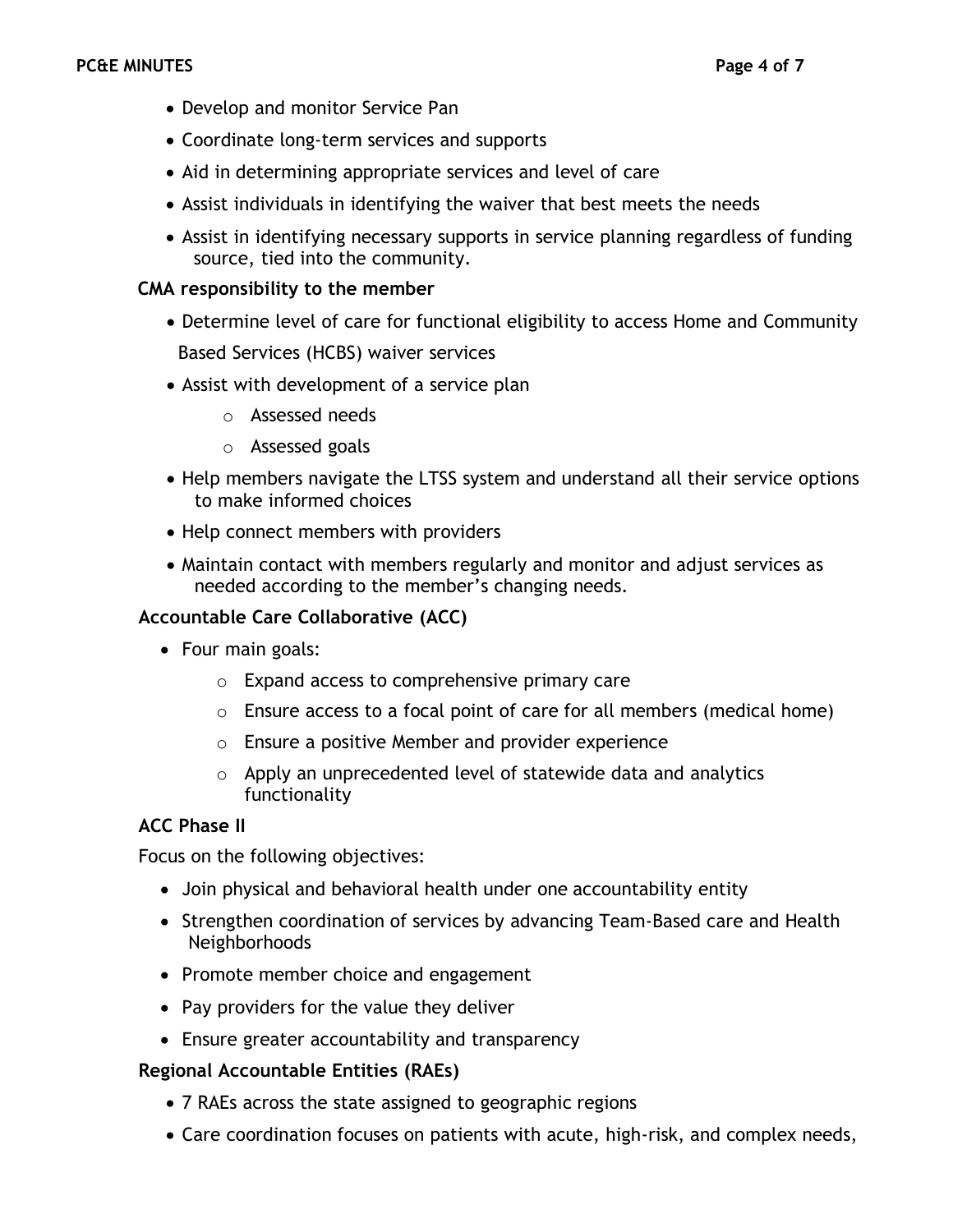- Develop and monitor Service Pan
- Coordinate long-term services and supports
- Aid in determining appropriate services and level of care
- Assist individuals in identifying the waiver that best meets the needs
- Assist in identifying necessary supports in service planning regardless of funding source, tied into the community.

### **CMA responsibility to the member**

- Determine level of care for functional eligibility to access Home and Community Based Services (HCBS) waiver services
- Assist with development of a service plan
	- o Assessed needs
	- o Assessed goals
- Help members navigate the LTSS system and understand all their service options to make informed choices
- Help connect members with providers
- Maintain contact with members regularly and monitor and adjust services as needed according to the member's changing needs.

### **Accountable Care Collaborative (ACC)**

- Four main goals:
	- o Expand access to comprehensive primary care
	- $\circ$  Ensure access to a focal point of care for all members (medical home)
	- o Ensure a positive Member and provider experience
	- o Apply an unprecedented level of statewide data and analytics functionality

### **ACC Phase II**

Focus on the following objectives:

- Join physical and behavioral health under one accountability entity
- Strengthen coordination of services by advancing Team-Based care and Health Neighborhoods
- Promote member choice and engagement
- Pay providers for the value they deliver
- Ensure greater accountability and transparency

## **Regional Accountable Entities (RAEs)**

- 7 RAEs across the state assigned to geographic regions
- Care coordination focuses on patients with acute, high-risk, and complex needs,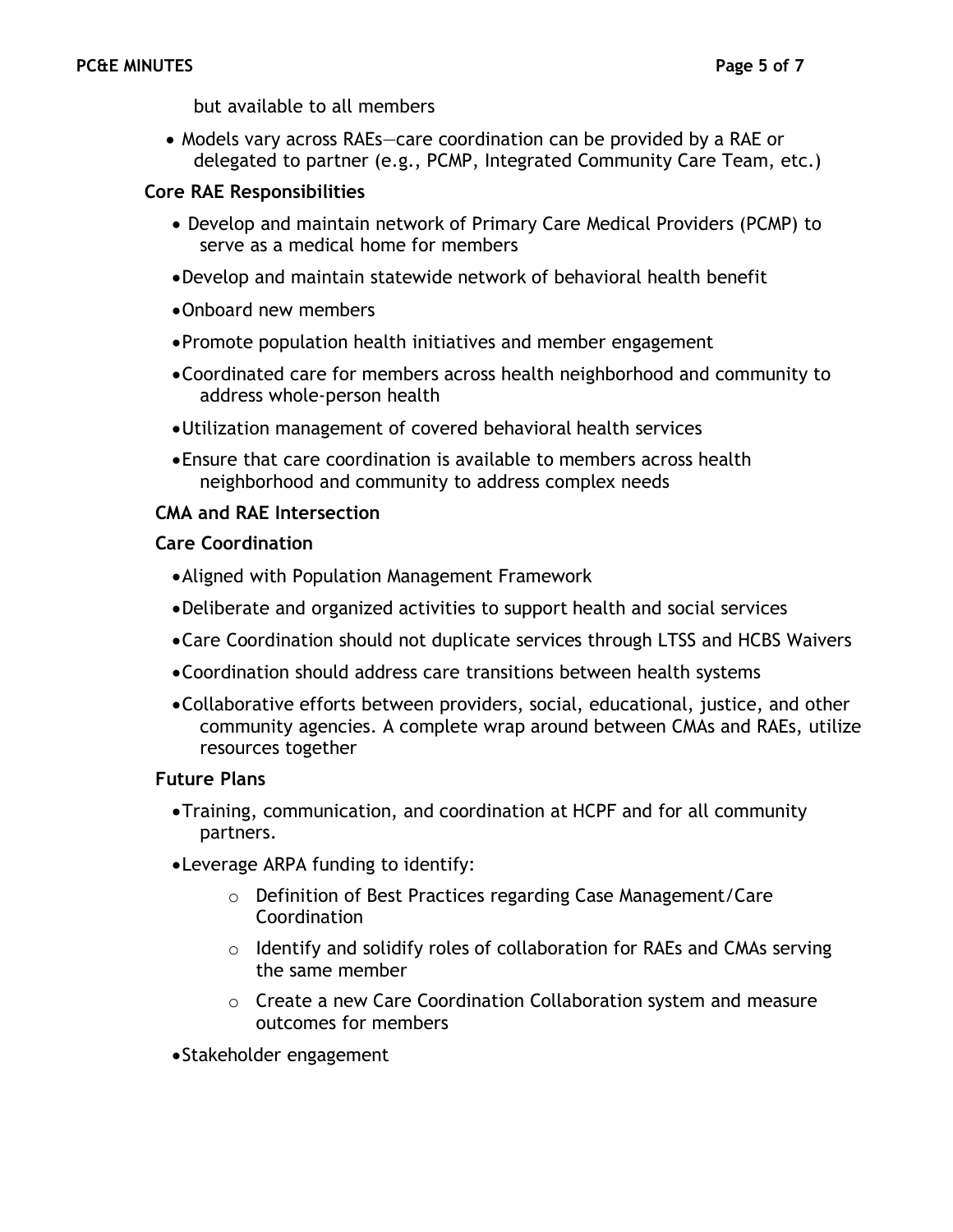but available to all members

• Models vary across RAEs—care coordination can be provided by a RAE or delegated to partner (e.g., PCMP, Integrated Community Care Team, etc.)

#### **Core RAE Responsibilities**

- Develop and maintain network of Primary Care Medical Providers (PCMP) to serve as a medical home for members
- •Develop and maintain statewide network of behavioral health benefit
- •Onboard new members
- •Promote population health initiatives and member engagement
- •Coordinated care for members across health neighborhood and community to address whole-person health
- •Utilization management of covered behavioral health services
- •Ensure that care coordination is available to members across health neighborhood and community to address complex needs

#### **CMA and RAE Intersection**

#### **Care Coordination**

- •Aligned with Population Management Framework
- •Deliberate and organized activities to support health and social services
- •Care Coordination should not duplicate services through LTSS and HCBS Waivers
- •Coordination should address care transitions between health systems
- •Collaborative efforts between providers, social, educational, justice, and other community agencies. A complete wrap around between CMAs and RAEs, utilize resources together

#### **Future Plans**

- •Training, communication, and coordination at HCPF and for all community partners.
- •Leverage ARPA funding to identify:
	- o Definition of Best Practices regarding Case Management/Care Coordination
	- o Identify and solidify roles of collaboration for RAEs and CMAs serving the same member
	- o Create a new Care Coordination Collaboration system and measure outcomes for members

•Stakeholder engagement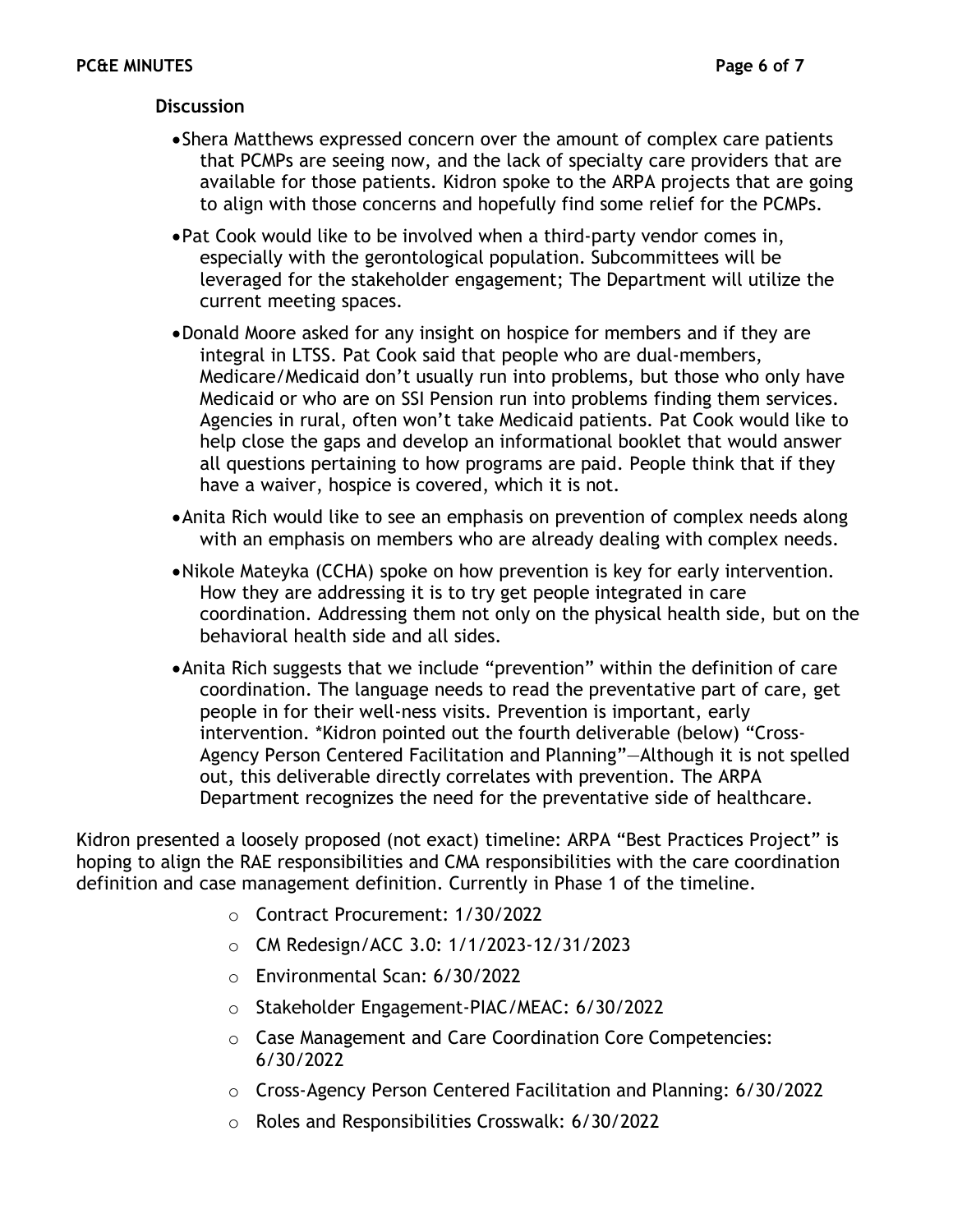### **Discussion**

- •Shera Matthews expressed concern over the amount of complex care patients that PCMPs are seeing now, and the lack of specialty care providers that are available for those patients. Kidron spoke to the ARPA projects that are going to align with those concerns and hopefully find some relief for the PCMPs.
- •Pat Cook would like to be involved when a third-party vendor comes in, especially with the gerontological population. Subcommittees will be leveraged for the stakeholder engagement; The Department will utilize the current meeting spaces.
- •Donald Moore asked for any insight on hospice for members and if they are integral in LTSS. Pat Cook said that people who are dual-members, Medicare/Medicaid don't usually run into problems, but those who only have Medicaid or who are on SSI Pension run into problems finding them services. Agencies in rural, often won't take Medicaid patients. Pat Cook would like to help close the gaps and develop an informational booklet that would answer all questions pertaining to how programs are paid. People think that if they have a waiver, hospice is covered, which it is not.
- •Anita Rich would like to see an emphasis on prevention of complex needs along with an emphasis on members who are already dealing with complex needs.
- •Nikole Mateyka (CCHA) spoke on how prevention is key for early intervention. How they are addressing it is to try get people integrated in care coordination. Addressing them not only on the physical health side, but on the behavioral health side and all sides.
- •Anita Rich suggests that we include "prevention" within the definition of care coordination. The language needs to read the preventative part of care, get people in for their well-ness visits. Prevention is important, early intervention. \*Kidron pointed out the fourth deliverable (below) "Cross-Agency Person Centered Facilitation and Planning"—Although it is not spelled out, this deliverable directly correlates with prevention. The ARPA Department recognizes the need for the preventative side of healthcare.

Kidron presented a loosely proposed (not exact) timeline: ARPA "Best Practices Project" is hoping to align the RAE responsibilities and CMA responsibilities with the care coordination definition and case management definition. Currently in Phase 1 of the timeline.

- o Contract Procurement: 1/30/2022
- o CM Redesign/ACC 3.0: 1/1/2023-12/31/2023
- o Environmental Scan: 6/30/2022
- o Stakeholder Engagement-PIAC/MEAC: 6/30/2022
- o Case Management and Care Coordination Core Competencies: 6/30/2022
- o Cross-Agency Person Centered Facilitation and Planning: 6/30/2022
- o Roles and Responsibilities Crosswalk: 6/30/2022